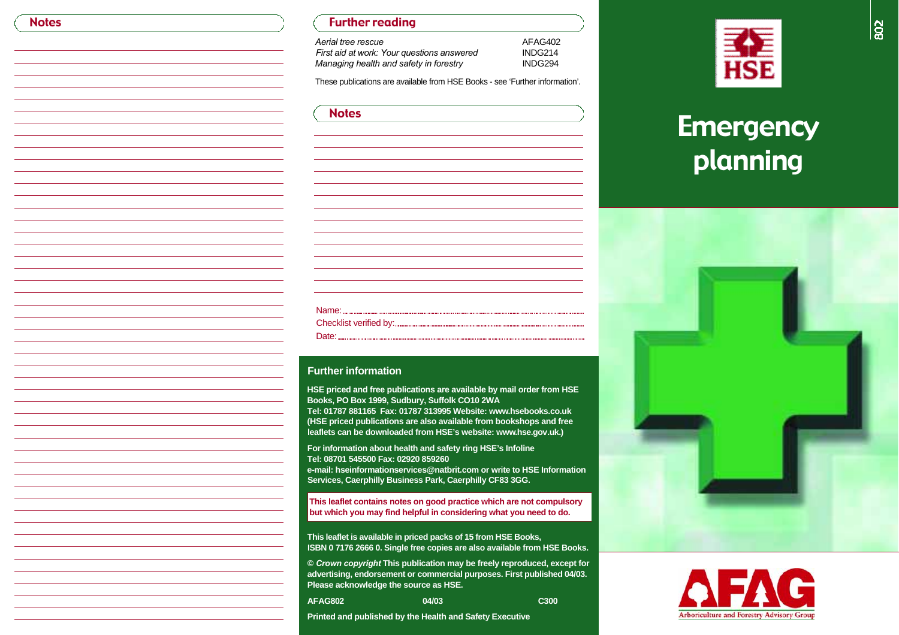## Further reading

*Aerial tree rescueFirst aid at work: Your questions answered* INDG214<br> *Managing health and safety in forestry* INDG294 *Managing health and safety in forestry* 

These publications are available from HSE Books - see 'Further information'.

AFA G402

| <b>Notes</b> |  |  |
|--------------|--|--|
|              |  |  |

#### **Further information**

**HSE priced and free publications are available by mail order from HSE Books, PO Box 1999, Sudbury, Suffolk CO10 2WA**

Tel: 01787 881165 Fax: 01787 313995 Website: www.hsebooks.co.uk **(HSE priced publications are also available from bookshops and free** leaflets can be downloaded from HSE's website: www.hse.gov.uk.)

**For information about health and safety ring HSE's Infoline Tel: 08701 545500 Fax: 02920 859260 e-mail: hseinformationservices@natbrit.com or write to HSE InformationServices, Caerphilly Business Park, Caerphilly CF83 3GG.** 

**This leaflet contains notes on good practice which are not compulsory but which you may find helpful in considering what you need to do.**

**This leaflet is available in priced packs of 15 from HSE Books, ISBN 0 7176 2666 0. Single free copies are also available from HSE Books.** 

**©** *Crown copyright* **This publication may be freely reproduced, except for advertising, endorsement or commercial purposes. First published 04/03. Please acknowledge the source as HSE.**

**A FA G 8 0 2 0 4 / 0 3 C 3 0 0**

**Printed and published by the Health and Safety Executive**



# **Emergency** planning